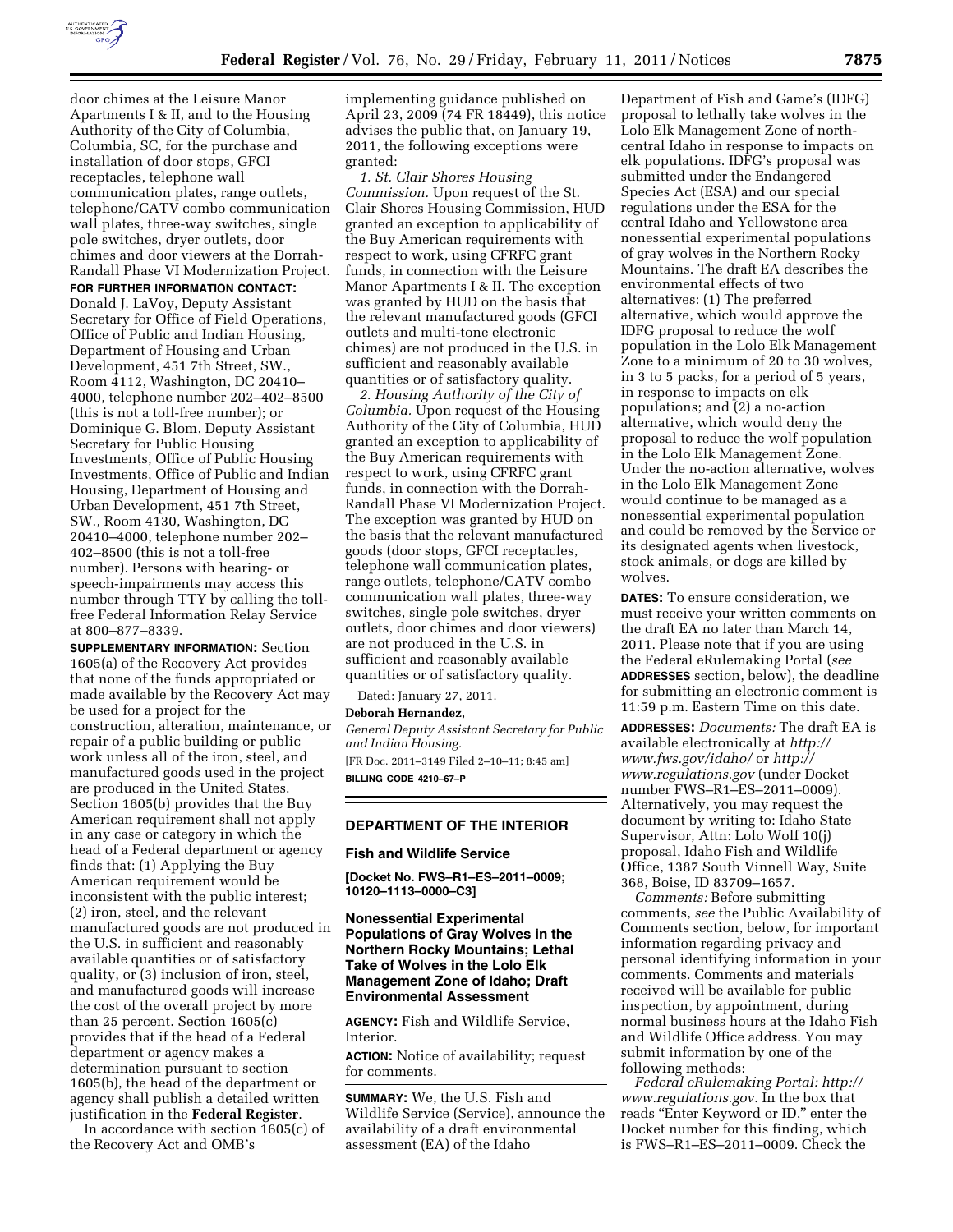

door chimes at the Leisure Manor Apartments I & II, and to the Housing Authority of the City of Columbia, Columbia, SC, for the purchase and installation of door stops, GFCI receptacles, telephone wall communication plates, range outlets, telephone/CATV combo communication wall plates, three-way switches, single pole switches, dryer outlets, door chimes and door viewers at the Dorrah-Randall Phase VI Modernization Project.

**FOR FURTHER INFORMATION CONTACT:**  Donald J. LaVoy, Deputy Assistant Secretary for Office of Field Operations, Office of Public and Indian Housing, Department of Housing and Urban Development, 451 7th Street, SW., Room 4112, Washington, DC 20410– 4000, telephone number 202–402–8500 (this is not a toll-free number); or Dominique G. Blom, Deputy Assistant Secretary for Public Housing Investments, Office of Public Housing Investments, Office of Public and Indian Housing, Department of Housing and Urban Development, 451 7th Street, SW., Room 4130, Washington, DC 20410–4000, telephone number 202– 402–8500 (this is not a toll-free number). Persons with hearing- or speech-impairments may access this number through TTY by calling the tollfree Federal Information Relay Service at 800–877–8339.

**SUPPLEMENTARY INFORMATION:** Section 1605(a) of the Recovery Act provides that none of the funds appropriated or made available by the Recovery Act may be used for a project for the construction, alteration, maintenance, or repair of a public building or public work unless all of the iron, steel, and manufactured goods used in the project are produced in the United States. Section 1605(b) provides that the Buy American requirement shall not apply in any case or category in which the head of a Federal department or agency finds that: (1) Applying the Buy American requirement would be inconsistent with the public interest; (2) iron, steel, and the relevant manufactured goods are not produced in the U.S. in sufficient and reasonably available quantities or of satisfactory quality, or (3) inclusion of iron, steel, and manufactured goods will increase the cost of the overall project by more than 25 percent. Section 1605(c) provides that if the head of a Federal department or agency makes a determination pursuant to section 1605(b), the head of the department or agency shall publish a detailed written justification in the **Federal Register**.

In accordance with section 1605(c) of the Recovery Act and OMB's

implementing guidance published on April 23, 2009 (74 FR 18449), this notice advises the public that, on January 19, 2011, the following exceptions were granted:

*1. St. Clair Shores Housing Commission.* Upon request of the St. Clair Shores Housing Commission, HUD granted an exception to applicability of the Buy American requirements with respect to work, using CFRFC grant funds, in connection with the Leisure Manor Apartments I & II. The exception was granted by HUD on the basis that the relevant manufactured goods (GFCI outlets and multi-tone electronic chimes) are not produced in the U.S. in sufficient and reasonably available quantities or of satisfactory quality.

*2. Housing Authority of the City of Columbia.* Upon request of the Housing Authority of the City of Columbia, HUD granted an exception to applicability of the Buy American requirements with respect to work, using CFRFC grant funds, in connection with the Dorrah-Randall Phase VI Modernization Project. The exception was granted by HUD on the basis that the relevant manufactured goods (door stops, GFCI receptacles, telephone wall communication plates, range outlets, telephone/CATV combo communication wall plates, three-way switches, single pole switches, dryer outlets, door chimes and door viewers) are not produced in the U.S. in sufficient and reasonably available quantities or of satisfactory quality.

Dated: January 27, 2011.

#### **Deborah Hernandez,**

*General Deputy Assistant Secretary for Public and Indian Housing.*  [FR Doc. 2011–3149 Filed 2–10–11; 8:45 am] **BILLING CODE 4210–67–P** 

### **DEPARTMENT OF THE INTERIOR**

### **Fish and Wildlife Service**

**[Docket No. FWS–R1–ES–2011–0009; 10120–1113–0000–C3]** 

# **Nonessential Experimental Populations of Gray Wolves in the Northern Rocky Mountains; Lethal Take of Wolves in the Lolo Elk Management Zone of Idaho; Draft Environmental Assessment**

**AGENCY:** Fish and Wildlife Service, Interior.

**ACTION:** Notice of availability; request for comments.

**SUMMARY:** We, the U.S. Fish and Wildlife Service (Service), announce the availability of a draft environmental assessment (EA) of the Idaho

Department of Fish and Game's (IDFG) proposal to lethally take wolves in the Lolo Elk Management Zone of northcentral Idaho in response to impacts on elk populations. IDFG's proposal was submitted under the Endangered Species Act (ESA) and our special regulations under the ESA for the central Idaho and Yellowstone area nonessential experimental populations of gray wolves in the Northern Rocky Mountains. The draft EA describes the environmental effects of two alternatives: (1) The preferred alternative, which would approve the IDFG proposal to reduce the wolf population in the Lolo Elk Management Zone to a minimum of 20 to 30 wolves, in 3 to 5 packs, for a period of 5 years, in response to impacts on elk populations; and (2) a no-action alternative, which would deny the proposal to reduce the wolf population in the Lolo Elk Management Zone. Under the no-action alternative, wolves in the Lolo Elk Management Zone would continue to be managed as a nonessential experimental population and could be removed by the Service or its designated agents when livestock, stock animals, or dogs are killed by wolves.

**DATES:** To ensure consideration, we must receive your written comments on the draft EA no later than March 14, 2011. Please note that if you are using the Federal eRulemaking Portal (*see*  **ADDRESSES** section, below), the deadline for submitting an electronic comment is 11:59 p.m. Eastern Time on this date.

**ADDRESSES:** *Documents:* The draft EA is available electronically at *[http://](http://www.fws.gov/idaho/)  [www.fws.gov/idaho/](http://www.fws.gov/idaho/)* or *[http://](http://www.regulations.gov) [www.regulations.gov](http://www.regulations.gov)* (under Docket number FWS–R1–ES–2011–0009). Alternatively, you may request the document by writing to: Idaho State Supervisor, Attn: Lolo Wolf 10(j) proposal, Idaho Fish and Wildlife Office, 1387 South Vinnell Way, Suite 368, Boise, ID 83709–1657.

*Comments:* Before submitting comments, *see* the Public Availability of Comments section, below, for important information regarding privacy and personal identifying information in your comments. Comments and materials received will be available for public inspection, by appointment, during normal business hours at the Idaho Fish and Wildlife Office address. You may submit information by one of the following methods:

*Federal eRulemaking Portal: [http://](http://www.regulations.gov)  [www.regulations.gov.](http://www.regulations.gov)* In the box that reads ''Enter Keyword or ID,'' enter the Docket number for this finding, which is FWS–R1–ES–2011–0009. Check the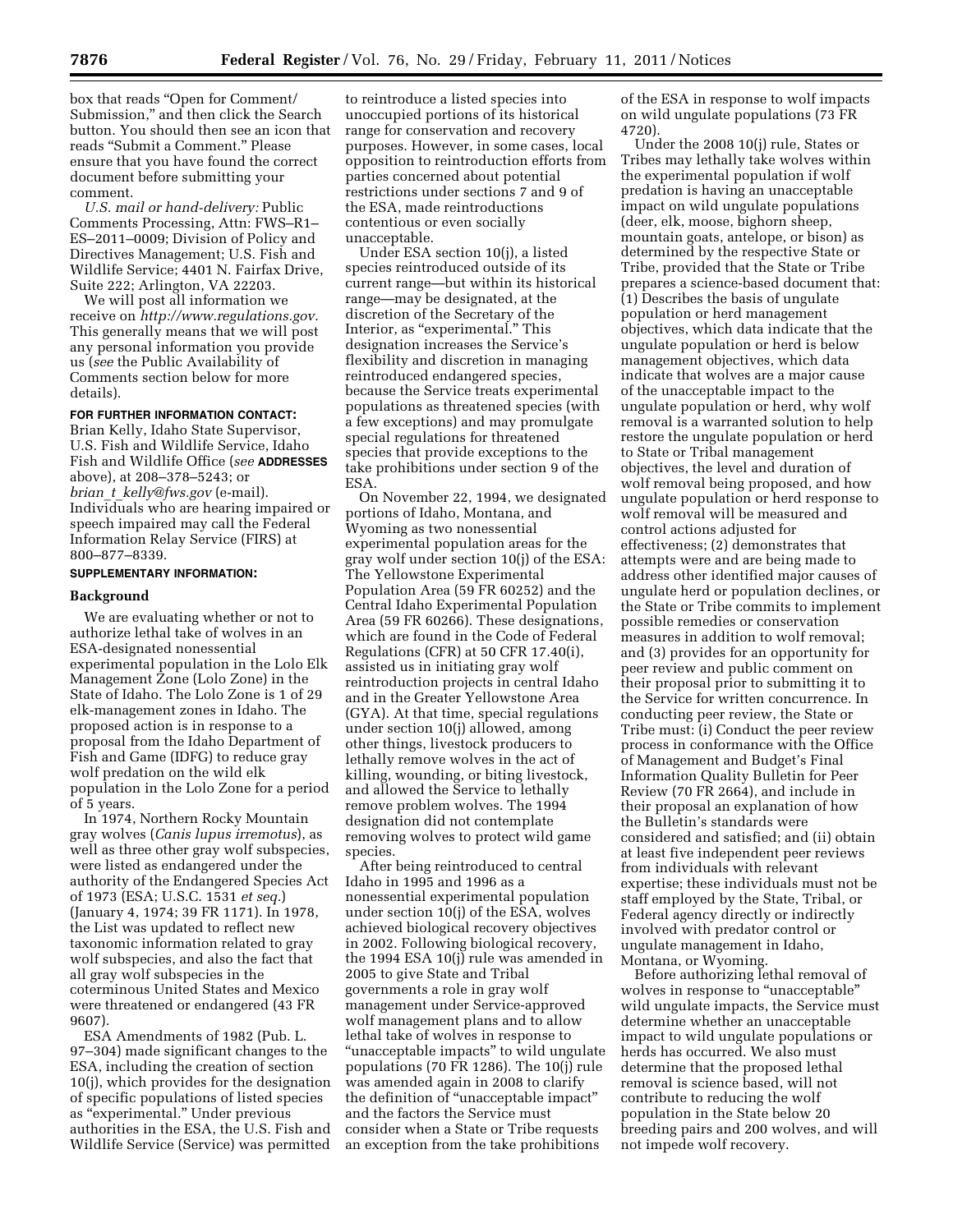box that reads ''Open for Comment/ Submission,'' and then click the Search button. You should then see an icon that reads ''Submit a Comment.'' Please ensure that you have found the correct document before submitting your comment.

*U.S. mail or hand-delivery:* Public Comments Processing, Attn: FWS–R1– ES–2011–0009; Division of Policy and Directives Management; U.S. Fish and Wildlife Service; 4401 N. Fairfax Drive, Suite 222; Arlington, VA 22203.

We will post all information we receive on *[http://www.regulations.gov.](http://www.regulations.gov)*  This generally means that we will post any personal information you provide us (*see* the Public Availability of Comments section below for more details).

# **FOR FURTHER INFORMATION CONTACT:**

Brian Kelly, Idaho State Supervisor, U.S. Fish and Wildlife Service, Idaho Fish and Wildlife Office (*see* **ADDRESSES** above), at 208–378–5243; or *brian*\_*t*\_*[kelly@fws.gov](mailto:brian_t_kelly@fws.gov)* (e-mail). Individuals who are hearing impaired or speech impaired may call the Federal Information Relay Service (FIRS) at 800–877–8339.

### **SUPPLEMENTARY INFORMATION:**

# **Background**

We are evaluating whether or not to authorize lethal take of wolves in an ESA-designated nonessential experimental population in the Lolo Elk Management Zone (Lolo Zone) in the State of Idaho. The Lolo Zone is 1 of 29 elk-management zones in Idaho. The proposed action is in response to a proposal from the Idaho Department of Fish and Game (IDFG) to reduce gray wolf predation on the wild elk population in the Lolo Zone for a period of 5 years.

In 1974, Northern Rocky Mountain gray wolves (*Canis lupus irremotus*), as well as three other gray wolf subspecies, were listed as endangered under the authority of the Endangered Species Act of 1973 (ESA; U.S.C. 1531 *et seq.*) (January 4, 1974; 39 FR 1171). In 1978, the List was updated to reflect new taxonomic information related to gray wolf subspecies, and also the fact that all gray wolf subspecies in the coterminous United States and Mexico were threatened or endangered (43 FR 9607).

ESA Amendments of 1982 (Pub. L. 97–304) made significant changes to the ESA, including the creation of section 10(j), which provides for the designation of specific populations of listed species as ''experimental.'' Under previous authorities in the ESA, the U.S. Fish and Wildlife Service (Service) was permitted

to reintroduce a listed species into unoccupied portions of its historical range for conservation and recovery purposes. However, in some cases, local opposition to reintroduction efforts from parties concerned about potential restrictions under sections 7 and 9 of the ESA, made reintroductions contentious or even socially unacceptable.

Under ESA section 10(j), a listed species reintroduced outside of its current range—but within its historical range—may be designated, at the discretion of the Secretary of the Interior, as "experimental." This designation increases the Service's flexibility and discretion in managing reintroduced endangered species, because the Service treats experimental populations as threatened species (with a few exceptions) and may promulgate special regulations for threatened species that provide exceptions to the take prohibitions under section 9 of the ESA.

On November 22, 1994, we designated portions of Idaho, Montana, and Wyoming as two nonessential experimental population areas for the gray wolf under section 10(j) of the ESA: The Yellowstone Experimental Population Area (59 FR 60252) and the Central Idaho Experimental Population Area (59 FR 60266). These designations, which are found in the Code of Federal Regulations (CFR) at 50 CFR 17.40(i), assisted us in initiating gray wolf reintroduction projects in central Idaho and in the Greater Yellowstone Area (GYA). At that time, special regulations under section 10(j) allowed, among other things, livestock producers to lethally remove wolves in the act of killing, wounding, or biting livestock, and allowed the Service to lethally remove problem wolves. The 1994 designation did not contemplate removing wolves to protect wild game species.

After being reintroduced to central Idaho in 1995 and 1996 as a nonessential experimental population under section 10(j) of the ESA, wolves achieved biological recovery objectives in 2002. Following biological recovery, the 1994 ESA 10(j) rule was amended in 2005 to give State and Tribal governments a role in gray wolf management under Service-approved wolf management plans and to allow lethal take of wolves in response to ''unacceptable impacts'' to wild ungulate populations (70 FR 1286). The 10(j) rule was amended again in 2008 to clarify the definition of ''unacceptable impact'' and the factors the Service must consider when a State or Tribe requests an exception from the take prohibitions

of the ESA in response to wolf impacts on wild ungulate populations (73 FR 4720).

Under the 2008 10(j) rule, States or Tribes may lethally take wolves within the experimental population if wolf predation is having an unacceptable impact on wild ungulate populations (deer, elk, moose, bighorn sheep, mountain goats, antelope, or bison) as determined by the respective State or Tribe, provided that the State or Tribe prepares a science-based document that: (1) Describes the basis of ungulate population or herd management objectives, which data indicate that the ungulate population or herd is below management objectives, which data indicate that wolves are a major cause of the unacceptable impact to the ungulate population or herd, why wolf removal is a warranted solution to help restore the ungulate population or herd to State or Tribal management objectives, the level and duration of wolf removal being proposed, and how ungulate population or herd response to wolf removal will be measured and control actions adjusted for effectiveness; (2) demonstrates that attempts were and are being made to address other identified major causes of ungulate herd or population declines, or the State or Tribe commits to implement possible remedies or conservation measures in addition to wolf removal; and (3) provides for an opportunity for peer review and public comment on their proposal prior to submitting it to the Service for written concurrence. In conducting peer review, the State or Tribe must: (i) Conduct the peer review process in conformance with the Office of Management and Budget's Final Information Quality Bulletin for Peer Review (70 FR 2664), and include in their proposal an explanation of how the Bulletin's standards were considered and satisfied; and (ii) obtain at least five independent peer reviews from individuals with relevant expertise; these individuals must not be staff employed by the State, Tribal, or Federal agency directly or indirectly involved with predator control or ungulate management in Idaho, Montana, or Wyoming.

Before authorizing lethal removal of wolves in response to "unacceptable" wild ungulate impacts, the Service must determine whether an unacceptable impact to wild ungulate populations or herds has occurred. We also must determine that the proposed lethal removal is science based, will not contribute to reducing the wolf population in the State below 20 breeding pairs and 200 wolves, and will not impede wolf recovery.